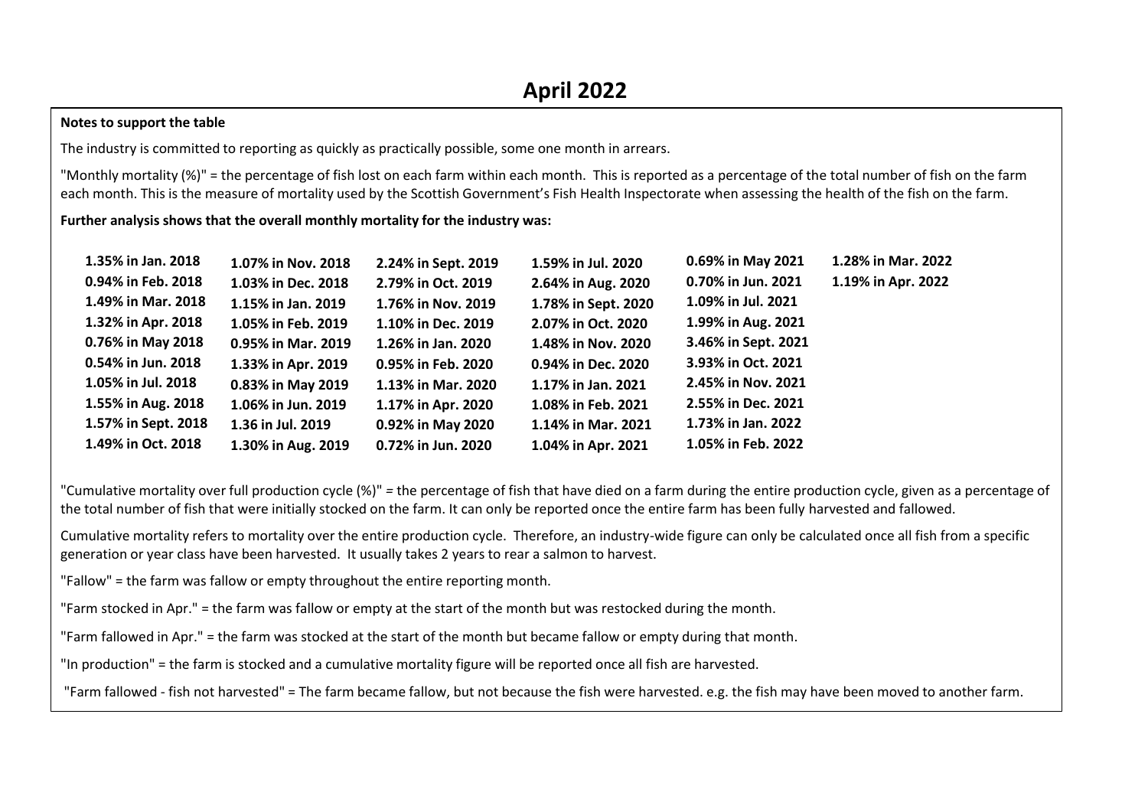### **Notes to support the table**

The industry is committed to reporting as quickly as practically possible, some one month in arrears.

"Monthly mortality (%)" = the percentage of fish lost on each farm within each month. This is reported as a percentage of the total number of fish on the farm each month. This is the measure of mortality used by the Scottish Government's Fish Health Inspectorate when assessing the health of the fish on the farm.

#### **Further analysis shows that the overall monthly mortality for the industry was:**

| 1.35% in Jan. 2018  | 1.07% in Nov. 2018 | 2.24% in Sept. 2019 | 1.59% in Jul. 2020  | 0.69% in May 2021   | 1.28% in Mar. 2022 |
|---------------------|--------------------|---------------------|---------------------|---------------------|--------------------|
| 0.94% in Feb. 2018  | 1.03% in Dec. 2018 | 2.79% in Oct. 2019  | 2.64% in Aug. 2020  | 0.70% in Jun. 2021  | 1.19% in Apr. 2022 |
| 1.49% in Mar. 2018  | 1.15% in Jan. 2019 | 1.76% in Nov. 2019  | 1.78% in Sept. 2020 | 1.09% in Jul. 2021  |                    |
| 1.32% in Apr. 2018  | 1.05% in Feb. 2019 | 1.10% in Dec. 2019  | 2.07% in Oct. 2020  | 1.99% in Aug. 2021  |                    |
| 0.76% in May 2018   | 0.95% in Mar. 2019 | 1.26% in Jan. 2020  | 1.48% in Nov. 2020  | 3.46% in Sept. 2021 |                    |
| 0.54% in Jun. 2018  | 1.33% in Apr. 2019 | 0.95% in Feb. 2020  | 0.94% in Dec. 2020  | 3.93% in Oct. 2021  |                    |
| 1.05% in Jul. 2018  | 0.83% in May 2019  | 1.13% in Mar. 2020  | 1.17% in Jan. 2021  | 2.45% in Nov. 2021  |                    |
| 1.55% in Aug. 2018  | 1.06% in Jun. 2019 | 1.17% in Apr. 2020  | 1.08% in Feb. 2021  | 2.55% in Dec. 2021  |                    |
| 1.57% in Sept. 2018 | 1.36 in Jul. 2019  | 0.92% in May 2020   | 1.14% in Mar. 2021  | 1.73% in Jan. 2022  |                    |
| 1.49% in Oct. 2018  | 1.30% in Aug. 2019 | 0.72% in Jun. 2020  | 1.04% in Apr. 2021  | 1.05% in Feb. 2022  |                    |

"Cumulative mortality over full production cycle (%)" *=* the percentage of fish that have died on a farm during the entire production cycle, given as a percentage of the total number of fish that were initially stocked on the farm. It can only be reported once the entire farm has been fully harvested and fallowed.

Cumulative mortality refers to mortality over the entire production cycle. Therefore, an industry-wide figure can only be calculated once all fish from a specific generation or year class have been harvested. It usually takes 2 years to rear a salmon to harvest.

"Fallow" = the farm was fallow or empty throughout the entire reporting month.

"Farm stocked in Apr." = the farm was fallow or empty at the start of the month but was restocked during the month.

"Farm fallowed in Apr." = the farm was stocked at the start of the month but became fallow or empty during that month.

"In production" = the farm is stocked and a cumulative mortality figure will be reported once all fish are harvested.

"Farm fallowed - fish not harvested" = The farm became fallow, but not because the fish were harvested. e.g. the fish may have been moved to another farm.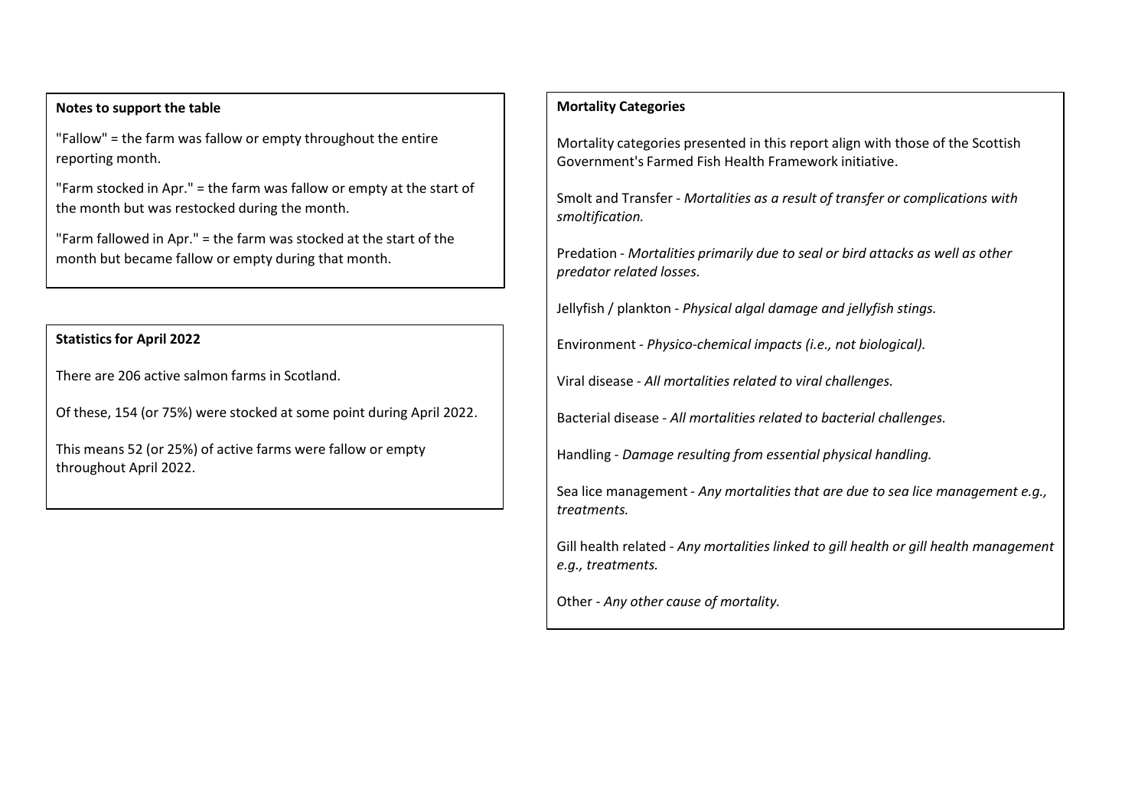### **Notes to support the table**

"Fallow" = the farm was fallow or empty throughout the entire reporting month.

"Farm stocked in Apr." = the farm was fallow or empty at the start of the month but was restocked during the month.

"Farm fallowed in Apr." = the farm was stocked at the start of the month but became fallow or empty during that month.

# **Statistics for April 2022**

There are 206 active salmon farms in Scotland.

Of these, 154 (or 75%) were stocked at some point during April 2022.

This means 52 (or 25%) of active farms were fallow or empty throughout April 2022.

## **Mortality Categories**

Mortality categories presented in this report align with those of the Scottish Government's Farmed Fish Health Framework initiative.

Smolt and Transfer - *Mortalities as a result of transfer or complications with smoltification.*

Predation - *Mortalities primarily due to seal or bird attacks as well as other predator related losses.*

Jellyfish / plankton - *Physical algal damage and jellyfish stings.*

Environment - *Physico-chemical impacts (i.e., not biological).*

Viral disease - *All mortalities related to viral challenges.*

Bacterial disease - *All mortalities related to bacterial challenges.*

Handling - *Damage resulting from essential physical handling.*

Sea lice management - *Any mortalities that are due to sea lice management e.g., treatments.*

Gill health related - *Any mortalities linked to gill health or gill health management e.g., treatments.*

Other - *Any other cause of mortality.*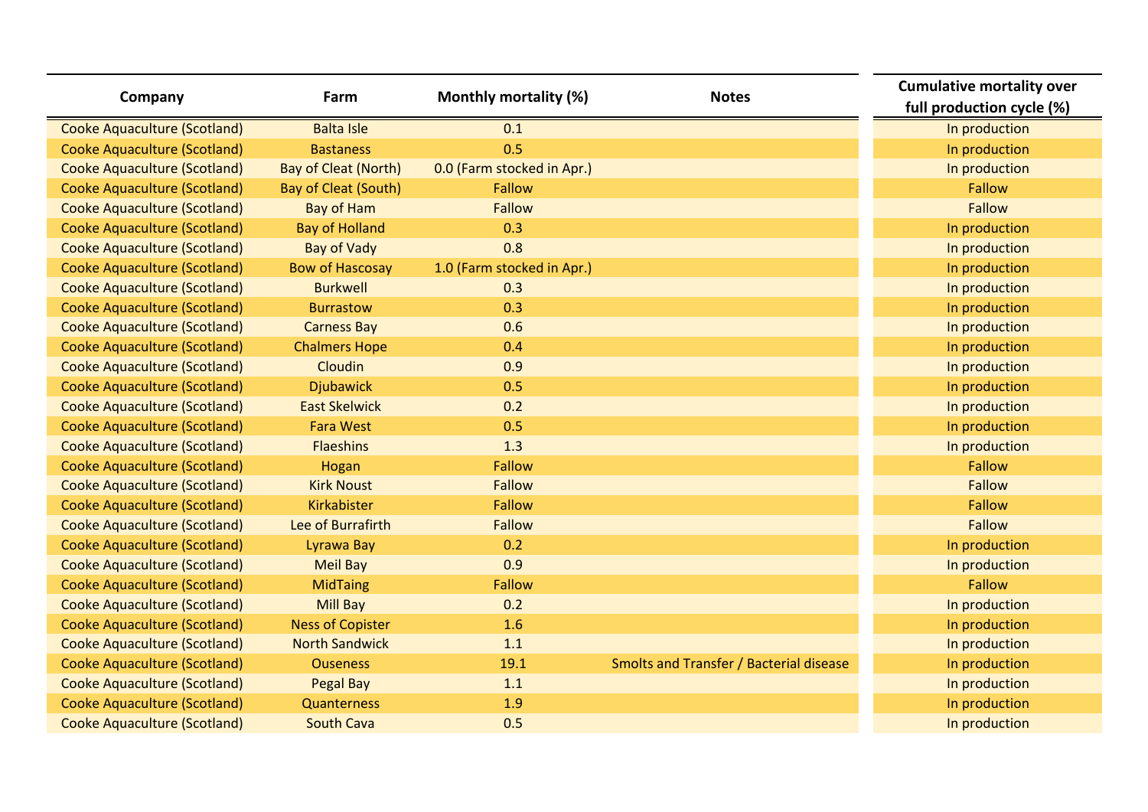| Company                             | Farm                        | Monthly mortality (%)      | <b>Notes</b>                            | <b>Cumulative mortality over</b><br>full production cycle (%) |
|-------------------------------------|-----------------------------|----------------------------|-----------------------------------------|---------------------------------------------------------------|
| <b>Cooke Aquaculture (Scotland)</b> | <b>Balta Isle</b>           | 0.1                        |                                         | In production                                                 |
| <b>Cooke Aquaculture (Scotland)</b> | <b>Bastaness</b>            | 0.5                        |                                         | In production                                                 |
| <b>Cooke Aquaculture (Scotland)</b> | <b>Bay of Cleat (North)</b> | 0.0 (Farm stocked in Apr.) |                                         | In production                                                 |
| <b>Cooke Aquaculture (Scotland)</b> | <b>Bay of Cleat (South)</b> | Fallow                     |                                         | Fallow                                                        |
| <b>Cooke Aquaculture (Scotland)</b> | <b>Bay of Ham</b>           | Fallow                     |                                         | Fallow                                                        |
| <b>Cooke Aquaculture (Scotland)</b> | <b>Bay of Holland</b>       | 0.3                        |                                         | In production                                                 |
| <b>Cooke Aquaculture (Scotland)</b> | <b>Bay of Vady</b>          | 0.8                        |                                         | In production                                                 |
| <b>Cooke Aquaculture (Scotland)</b> | <b>Bow of Hascosay</b>      | 1.0 (Farm stocked in Apr.) |                                         | In production                                                 |
| <b>Cooke Aquaculture (Scotland)</b> | <b>Burkwell</b>             | 0.3                        |                                         | In production                                                 |
| <b>Cooke Aquaculture (Scotland)</b> | <b>Burrastow</b>            | 0.3                        |                                         | In production                                                 |
| <b>Cooke Aquaculture (Scotland)</b> | <b>Carness Bay</b>          | 0.6                        |                                         | In production                                                 |
| <b>Cooke Aquaculture (Scotland)</b> | <b>Chalmers Hope</b>        | 0.4                        |                                         | In production                                                 |
| <b>Cooke Aquaculture (Scotland)</b> | Cloudin                     | 0.9                        |                                         | In production                                                 |
| <b>Cooke Aquaculture (Scotland)</b> | <b>Djubawick</b>            | 0.5                        |                                         | In production                                                 |
| <b>Cooke Aquaculture (Scotland)</b> | <b>East Skelwick</b>        | 0.2                        |                                         | In production                                                 |
| <b>Cooke Aquaculture (Scotland)</b> | <b>Fara West</b>            | 0.5                        |                                         | In production                                                 |
| <b>Cooke Aquaculture (Scotland)</b> | <b>Flaeshins</b>            | 1.3                        |                                         | In production                                                 |
| <b>Cooke Aquaculture (Scotland)</b> | Hogan                       | Fallow                     |                                         | Fallow                                                        |
| <b>Cooke Aquaculture (Scotland)</b> | <b>Kirk Noust</b>           | Fallow                     |                                         | Fallow                                                        |
| <b>Cooke Aquaculture (Scotland)</b> | Kirkabister                 | Fallow                     |                                         | Fallow                                                        |
| <b>Cooke Aquaculture (Scotland)</b> | Lee of Burrafirth           | Fallow                     |                                         | Fallow                                                        |
| <b>Cooke Aquaculture (Scotland)</b> | Lyrawa Bay                  | 0.2                        |                                         | In production                                                 |
| <b>Cooke Aquaculture (Scotland)</b> | <b>Meil Bay</b>             | 0.9                        |                                         | In production                                                 |
| <b>Cooke Aquaculture (Scotland)</b> | <b>MidTaing</b>             | Fallow                     |                                         | Fallow                                                        |
| <b>Cooke Aquaculture (Scotland)</b> | <b>Mill Bay</b>             | 0.2                        |                                         | In production                                                 |
| <b>Cooke Aquaculture (Scotland)</b> | <b>Ness of Copister</b>     | 1.6                        |                                         | In production                                                 |
| <b>Cooke Aquaculture (Scotland)</b> | <b>North Sandwick</b>       | 1.1                        |                                         | In production                                                 |
| <b>Cooke Aquaculture (Scotland)</b> | <b>Ouseness</b>             | 19.1                       | Smolts and Transfer / Bacterial disease | In production                                                 |
| <b>Cooke Aquaculture (Scotland)</b> | Pegal Bay                   | 1.1                        |                                         | In production                                                 |
| <b>Cooke Aquaculture (Scotland)</b> | Quanterness                 | 1.9                        |                                         | In production                                                 |
| <b>Cooke Aquaculture (Scotland)</b> | <b>South Cava</b>           | 0.5                        |                                         | In production                                                 |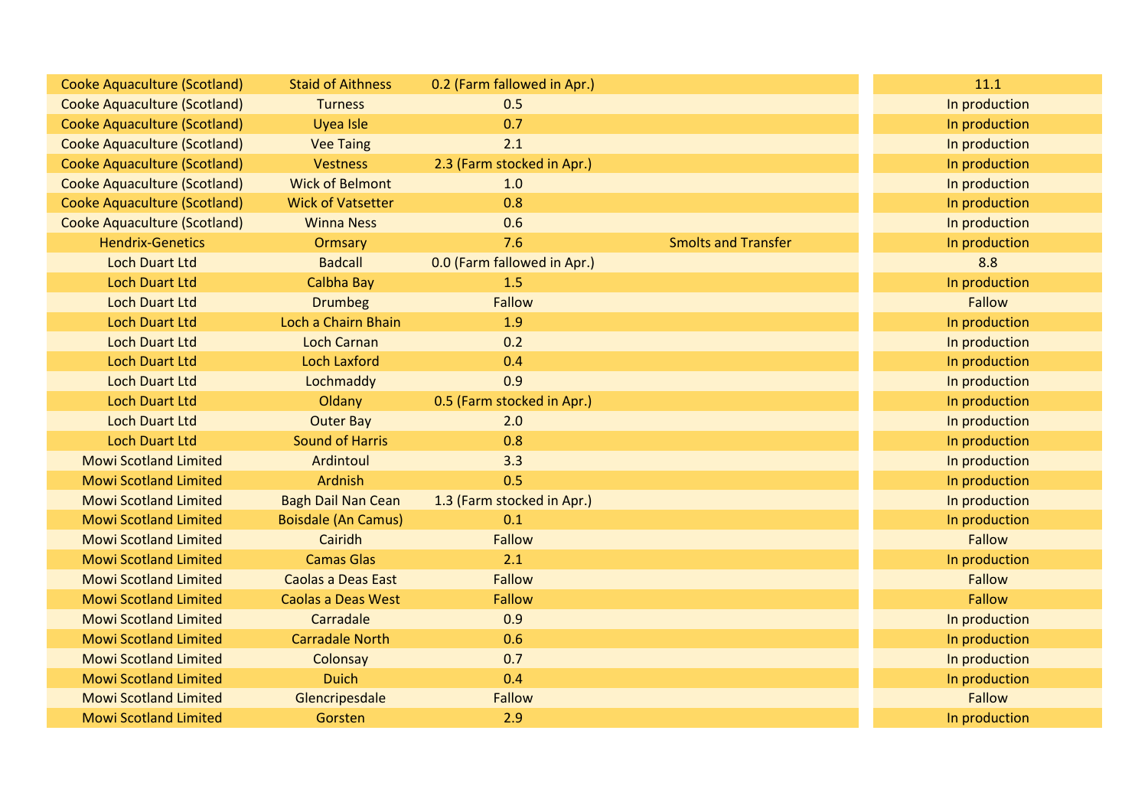| <b>Cooke Aquaculture (Scotland)</b> | <b>Staid of Aithness</b>   | 0.2 (Farm fallowed in Apr.) |                            | 11.1          |
|-------------------------------------|----------------------------|-----------------------------|----------------------------|---------------|
| <b>Cooke Aquaculture (Scotland)</b> | <b>Turness</b>             | 0.5                         |                            | In production |
| <b>Cooke Aquaculture (Scotland)</b> | Uyea Isle                  | 0.7                         |                            | In production |
| <b>Cooke Aquaculture (Scotland)</b> | <b>Vee Taing</b>           | 2.1                         |                            | In production |
| <b>Cooke Aquaculture (Scotland)</b> | <b>Vestness</b>            | 2.3 (Farm stocked in Apr.)  |                            | In production |
| <b>Cooke Aquaculture (Scotland)</b> | <b>Wick of Belmont</b>     | 1.0                         |                            | In production |
| <b>Cooke Aquaculture (Scotland)</b> | <b>Wick of Vatsetter</b>   | 0.8                         |                            | In production |
| <b>Cooke Aquaculture (Scotland)</b> | <b>Winna Ness</b>          | 0.6                         |                            | In production |
| <b>Hendrix-Genetics</b>             | Ormsary                    | 7.6                         | <b>Smolts and Transfer</b> | In production |
| <b>Loch Duart Ltd</b>               | <b>Badcall</b>             | 0.0 (Farm fallowed in Apr.) |                            | 8.8           |
| <b>Loch Duart Ltd</b>               | Calbha Bay                 | 1.5                         |                            | In production |
| <b>Loch Duart Ltd</b>               | <b>Drumbeg</b>             | <b>Fallow</b>               |                            | <b>Fallow</b> |
| <b>Loch Duart Ltd</b>               | Loch a Chairn Bhain        | 1.9                         |                            | In production |
| <b>Loch Duart Ltd</b>               | <b>Loch Carnan</b>         | 0.2                         |                            | In production |
| <b>Loch Duart Ltd</b>               | <b>Loch Laxford</b>        | 0.4                         |                            | In production |
| <b>Loch Duart Ltd</b>               | Lochmaddy                  | 0.9                         |                            | In production |
| <b>Loch Duart Ltd</b>               | Oldany                     | 0.5 (Farm stocked in Apr.)  |                            | In production |
| <b>Loch Duart Ltd</b>               | <b>Outer Bay</b>           | 2.0                         |                            | In production |
| <b>Loch Duart Ltd</b>               | <b>Sound of Harris</b>     | 0.8                         |                            | In production |
| <b>Mowi Scotland Limited</b>        | Ardintoul                  | 3.3                         |                            | In production |
| <b>Mowi Scotland Limited</b>        | Ardnish                    | 0.5                         |                            | In production |
| <b>Mowi Scotland Limited</b>        | <b>Bagh Dail Nan Cean</b>  | 1.3 (Farm stocked in Apr.)  |                            | In production |
| <b>Mowi Scotland Limited</b>        | <b>Boisdale (An Camus)</b> | 0.1                         |                            | In production |
| <b>Mowi Scotland Limited</b>        | Cairidh                    | Fallow                      |                            | <b>Fallow</b> |
| <b>Mowi Scotland Limited</b>        | <b>Camas Glas</b>          | 2.1                         |                            | In production |
| <b>Mowi Scotland Limited</b>        | <b>Caolas a Deas East</b>  | Fallow                      |                            | <b>Fallow</b> |
| <b>Mowi Scotland Limited</b>        | <b>Caolas a Deas West</b>  | Fallow                      |                            | <b>Fallow</b> |
| <b>Mowi Scotland Limited</b>        | Carradale                  | 0.9                         |                            | In production |
| <b>Mowi Scotland Limited</b>        | <b>Carradale North</b>     | 0.6                         |                            | In production |
| <b>Mowi Scotland Limited</b>        | Colonsay                   | 0.7                         |                            | In production |
| <b>Mowi Scotland Limited</b>        | <b>Duich</b>               | 0.4                         |                            | In production |
| <b>Mowi Scotland Limited</b>        | Glencripesdale             | <b>Fallow</b>               |                            | <b>Fallow</b> |
| <b>Mowi Scotland Limited</b>        | Gorsten                    | 2.9                         |                            | In production |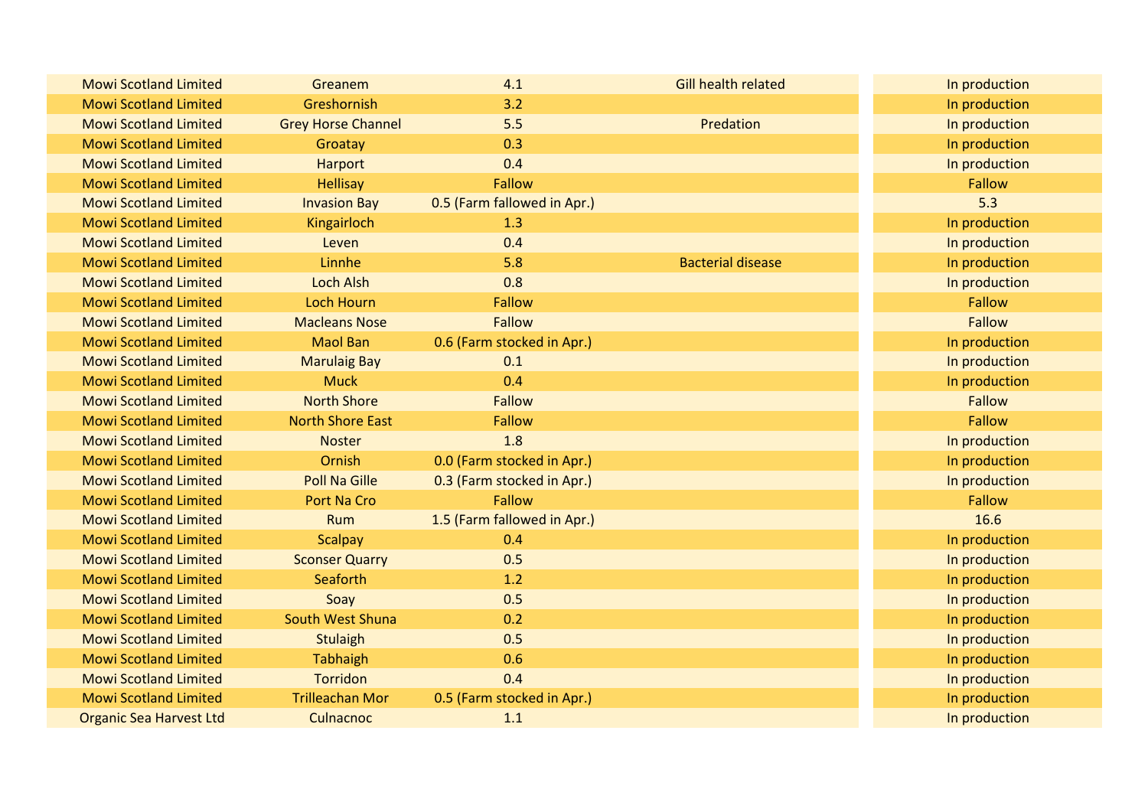| <b>Mowi Scotland Limited</b>   | Greanem                   | 4.1                         | Gill health related      | In production |
|--------------------------------|---------------------------|-----------------------------|--------------------------|---------------|
| <b>Mowi Scotland Limited</b>   | Greshornish               | 3.2                         |                          | In production |
| <b>Mowi Scotland Limited</b>   | <b>Grey Horse Channel</b> | 5.5                         | Predation                | In production |
| <b>Mowi Scotland Limited</b>   | Groatay                   | 0.3                         |                          | In production |
| <b>Mowi Scotland Limited</b>   | Harport                   | 0.4                         |                          | In production |
| <b>Mowi Scotland Limited</b>   | <b>Hellisay</b>           | Fallow                      |                          | Fallow        |
| <b>Mowi Scotland Limited</b>   | <b>Invasion Bay</b>       | 0.5 (Farm fallowed in Apr.) |                          | 5.3           |
| <b>Mowi Scotland Limited</b>   | Kingairloch               | 1.3                         |                          | In production |
| <b>Mowi Scotland Limited</b>   | Leven                     | 0.4                         |                          | In production |
| <b>Mowi Scotland Limited</b>   | Linnhe                    | 5.8                         | <b>Bacterial disease</b> | In production |
| <b>Mowi Scotland Limited</b>   | <b>Loch Alsh</b>          | 0.8                         |                          | In production |
| <b>Mowi Scotland Limited</b>   | <b>Loch Hourn</b>         | <b>Fallow</b>               |                          | Fallow        |
| <b>Mowi Scotland Limited</b>   | <b>Macleans Nose</b>      | <b>Fallow</b>               |                          | Fallow        |
| <b>Mowi Scotland Limited</b>   | <b>Maol Ban</b>           | 0.6 (Farm stocked in Apr.)  |                          | In production |
| <b>Mowi Scotland Limited</b>   | <b>Marulaig Bay</b>       | 0.1                         |                          | In production |
| <b>Mowi Scotland Limited</b>   | <b>Muck</b>               | 0.4                         |                          | In production |
| <b>Mowi Scotland Limited</b>   | <b>North Shore</b>        | <b>Fallow</b>               |                          | Fallow        |
| <b>Mowi Scotland Limited</b>   | <b>North Shore East</b>   | <b>Fallow</b>               |                          | Fallow        |
| <b>Mowi Scotland Limited</b>   | <b>Noster</b>             | 1.8                         |                          | In production |
| <b>Mowi Scotland Limited</b>   | Ornish                    | 0.0 (Farm stocked in Apr.)  |                          | In production |
| <b>Mowi Scotland Limited</b>   | <b>Poll Na Gille</b>      | 0.3 (Farm stocked in Apr.)  |                          | In production |
| <b>Mowi Scotland Limited</b>   | Port Na Cro               | <b>Fallow</b>               |                          | Fallow        |
| <b>Mowi Scotland Limited</b>   | <b>Rum</b>                | 1.5 (Farm fallowed in Apr.) |                          | 16.6          |
| <b>Mowi Scotland Limited</b>   | <b>Scalpay</b>            | 0.4                         |                          | In production |
| <b>Mowi Scotland Limited</b>   | <b>Sconser Quarry</b>     | 0.5                         |                          | In production |
| <b>Mowi Scotland Limited</b>   | Seaforth                  | 1.2                         |                          | In production |
| <b>Mowi Scotland Limited</b>   | Soay                      | 0.5                         |                          | In production |
| <b>Mowi Scotland Limited</b>   | South West Shuna          | 0.2                         |                          | In production |
| <b>Mowi Scotland Limited</b>   | <b>Stulaigh</b>           | 0.5                         |                          | In production |
| <b>Mowi Scotland Limited</b>   | <b>Tabhaigh</b>           | 0.6                         |                          | In production |
| <b>Mowi Scotland Limited</b>   | <b>Torridon</b>           | 0.4                         |                          | In production |
| <b>Mowi Scotland Limited</b>   | <b>Trilleachan Mor</b>    | 0.5 (Farm stocked in Apr.)  |                          | In production |
| <b>Organic Sea Harvest Ltd</b> | Culnacnoc                 | 1.1                         |                          | In production |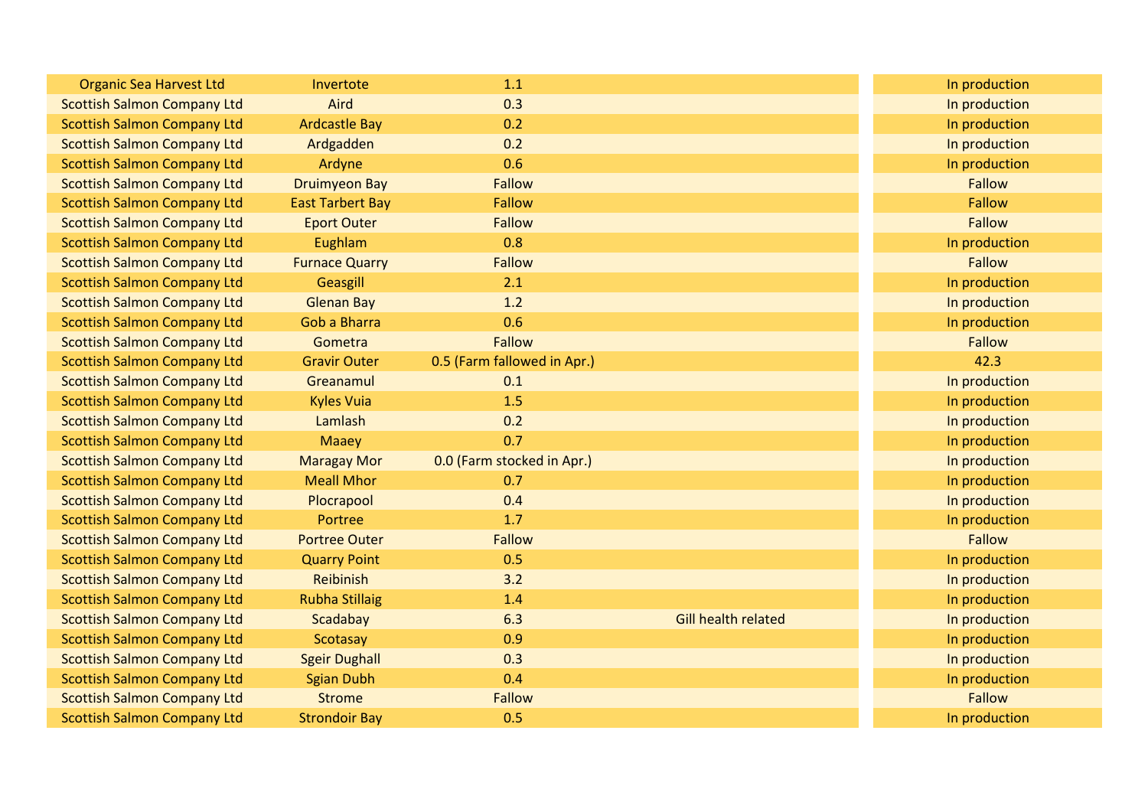| <b>Organic Sea Harvest Ltd</b>     | Invertote               | 1.1                         |                            | In production |
|------------------------------------|-------------------------|-----------------------------|----------------------------|---------------|
| <b>Scottish Salmon Company Ltd</b> | Aird                    | 0.3                         |                            | In production |
| <b>Scottish Salmon Company Ltd</b> | <b>Ardcastle Bay</b>    | 0.2                         |                            | In production |
| <b>Scottish Salmon Company Ltd</b> | Ardgadden               | 0.2                         |                            | In production |
| <b>Scottish Salmon Company Ltd</b> | Ardyne                  | 0.6                         |                            | In production |
| <b>Scottish Salmon Company Ltd</b> | <b>Druimyeon Bay</b>    | Fallow                      |                            | <b>Fallow</b> |
| <b>Scottish Salmon Company Ltd</b> | <b>East Tarbert Bay</b> | Fallow                      |                            | Fallow        |
| <b>Scottish Salmon Company Ltd</b> | <b>Eport Outer</b>      | <b>Fallow</b>               |                            | <b>Fallow</b> |
| <b>Scottish Salmon Company Ltd</b> | Eughlam                 | 0.8                         |                            | In production |
| <b>Scottish Salmon Company Ltd</b> | <b>Furnace Quarry</b>   | <b>Fallow</b>               |                            | <b>Fallow</b> |
| <b>Scottish Salmon Company Ltd</b> | Geasgill                | 2.1                         |                            | In production |
| <b>Scottish Salmon Company Ltd</b> | <b>Glenan Bay</b>       | 1.2                         |                            | In production |
| <b>Scottish Salmon Company Ltd</b> | <b>Gob a Bharra</b>     | 0.6                         |                            | In production |
| <b>Scottish Salmon Company Ltd</b> | Gometra                 | Fallow                      |                            | <b>Fallow</b> |
| <b>Scottish Salmon Company Ltd</b> | <b>Gravir Outer</b>     | 0.5 (Farm fallowed in Apr.) |                            | 42.3          |
| <b>Scottish Salmon Company Ltd</b> | Greanamul               | 0.1                         |                            | In production |
| <b>Scottish Salmon Company Ltd</b> | <b>Kyles Vuia</b>       | 1.5                         |                            | In production |
| <b>Scottish Salmon Company Ltd</b> | Lamlash                 | 0.2                         |                            | In production |
| <b>Scottish Salmon Company Ltd</b> | <b>Maaey</b>            | 0.7                         |                            | In production |
| <b>Scottish Salmon Company Ltd</b> | <b>Maragay Mor</b>      | 0.0 (Farm stocked in Apr.)  |                            | In production |
| <b>Scottish Salmon Company Ltd</b> | <b>Meall Mhor</b>       | 0.7                         |                            | In production |
| <b>Scottish Salmon Company Ltd</b> | Plocrapool              | 0.4                         |                            | In production |
| <b>Scottish Salmon Company Ltd</b> | Portree                 | 1.7                         |                            | In production |
| <b>Scottish Salmon Company Ltd</b> | <b>Portree Outer</b>    | <b>Fallow</b>               |                            | <b>Fallow</b> |
| <b>Scottish Salmon Company Ltd</b> | <b>Quarry Point</b>     | 0.5                         |                            | In production |
| <b>Scottish Salmon Company Ltd</b> | Reibinish               | 3.2                         |                            | In production |
| <b>Scottish Salmon Company Ltd</b> | <b>Rubha Stillaig</b>   | 1.4                         |                            | In production |
| <b>Scottish Salmon Company Ltd</b> | Scadabay                | 6.3                         | <b>Gill health related</b> | In production |
| <b>Scottish Salmon Company Ltd</b> | Scotasay                | 0.9                         |                            | In production |
| <b>Scottish Salmon Company Ltd</b> | <b>Sgeir Dughall</b>    | 0.3                         |                            | In production |
| <b>Scottish Salmon Company Ltd</b> | <b>Sgian Dubh</b>       | 0.4                         |                            | In production |
| <b>Scottish Salmon Company Ltd</b> | <b>Strome</b>           | <b>Fallow</b>               |                            | <b>Fallow</b> |
| <b>Scottish Salmon Company Ltd</b> | <b>Strondoir Bay</b>    | 0.5                         |                            | In production |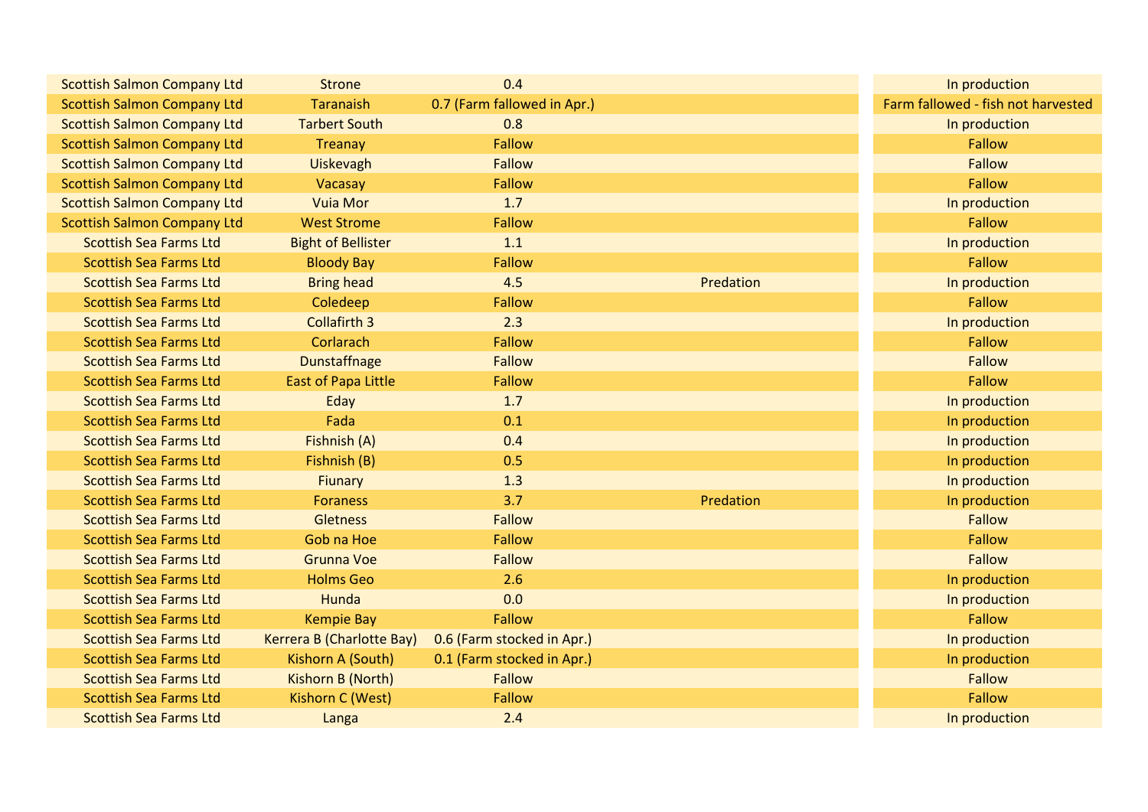| <b>Scottish Salmon Company Ltd</b> | <b>Strone</b>              | 0.4                         |           | In production                      |
|------------------------------------|----------------------------|-----------------------------|-----------|------------------------------------|
| <b>Scottish Salmon Company Ltd</b> | <b>Taranaish</b>           | 0.7 (Farm fallowed in Apr.) |           | Farm fallowed - fish not harvested |
| <b>Scottish Salmon Company Ltd</b> | <b>Tarbert South</b>       | 0.8                         |           | In production                      |
| <b>Scottish Salmon Company Ltd</b> | Treanay                    | <b>Fallow</b>               |           | <b>Fallow</b>                      |
| <b>Scottish Salmon Company Ltd</b> | Uiskevagh                  | <b>Fallow</b>               |           | <b>Fallow</b>                      |
| <b>Scottish Salmon Company Ltd</b> | Vacasay                    | <b>Fallow</b>               |           | <b>Fallow</b>                      |
| <b>Scottish Salmon Company Ltd</b> | <b>Vuia Mor</b>            | 1.7                         |           | In production                      |
| <b>Scottish Salmon Company Ltd</b> | <b>West Strome</b>         | <b>Fallow</b>               |           | <b>Fallow</b>                      |
| <b>Scottish Sea Farms Ltd</b>      | <b>Bight of Bellister</b>  | 1.1                         |           | In production                      |
| <b>Scottish Sea Farms Ltd</b>      | <b>Bloody Bay</b>          | <b>Fallow</b>               |           | <b>Fallow</b>                      |
| <b>Scottish Sea Farms Ltd</b>      | <b>Bring head</b>          | 4.5                         | Predation | In production                      |
| <b>Scottish Sea Farms Ltd</b>      | Coledeep                   | <b>Fallow</b>               |           | <b>Fallow</b>                      |
| <b>Scottish Sea Farms Ltd</b>      | <b>Collafirth 3</b>        | 2.3                         |           | In production                      |
| <b>Scottish Sea Farms Ltd</b>      | Corlarach                  | <b>Fallow</b>               |           | <b>Fallow</b>                      |
| <b>Scottish Sea Farms Ltd</b>      | <b>Dunstaffnage</b>        | Fallow                      |           | <b>Fallow</b>                      |
| <b>Scottish Sea Farms Ltd</b>      | <b>East of Papa Little</b> | <b>Fallow</b>               |           | <b>Fallow</b>                      |
| <b>Scottish Sea Farms Ltd</b>      | Eday                       | 1.7                         |           | In production                      |
| <b>Scottish Sea Farms Ltd</b>      | Fada                       | 0.1                         |           | In production                      |
| <b>Scottish Sea Farms Ltd</b>      | Fishnish (A)               | 0.4                         |           | In production                      |
| <b>Scottish Sea Farms Ltd</b>      | Fishnish (B)               | 0.5                         |           | In production                      |
| <b>Scottish Sea Farms Ltd</b>      | Fiunary                    | 1.3                         |           | In production                      |
| <b>Scottish Sea Farms Ltd</b>      | <b>Foraness</b>            | 3.7                         | Predation | In production                      |
| <b>Scottish Sea Farms Ltd</b>      | <b>Gletness</b>            | Fallow                      |           | <b>Fallow</b>                      |
| <b>Scottish Sea Farms Ltd</b>      | Gob na Hoe                 | Fallow                      |           | <b>Fallow</b>                      |
| <b>Scottish Sea Farms Ltd</b>      | <b>Grunna Voe</b>          | <b>Fallow</b>               |           | <b>Fallow</b>                      |
| <b>Scottish Sea Farms Ltd</b>      | <b>Holms Geo</b>           | 2.6                         |           | In production                      |
| <b>Scottish Sea Farms Ltd</b>      | Hunda                      | 0.0                         |           | In production                      |
| <b>Scottish Sea Farms Ltd</b>      | <b>Kempie Bay</b>          | Fallow                      |           | <b>Fallow</b>                      |
| <b>Scottish Sea Farms Ltd</b>      | Kerrera B (Charlotte Bay)  | 0.6 (Farm stocked in Apr.)  |           | In production                      |
| <b>Scottish Sea Farms Ltd</b>      | Kishorn A (South)          | 0.1 (Farm stocked in Apr.)  |           | In production                      |
| <b>Scottish Sea Farms Ltd</b>      | Kishorn B (North)          | <b>Fallow</b>               |           | <b>Fallow</b>                      |
| <b>Scottish Sea Farms Ltd</b>      | Kishorn C (West)           | Fallow                      |           | <b>Fallow</b>                      |
| <b>Scottish Sea Farms Ltd</b>      | Langa                      | 2.4                         |           | In production                      |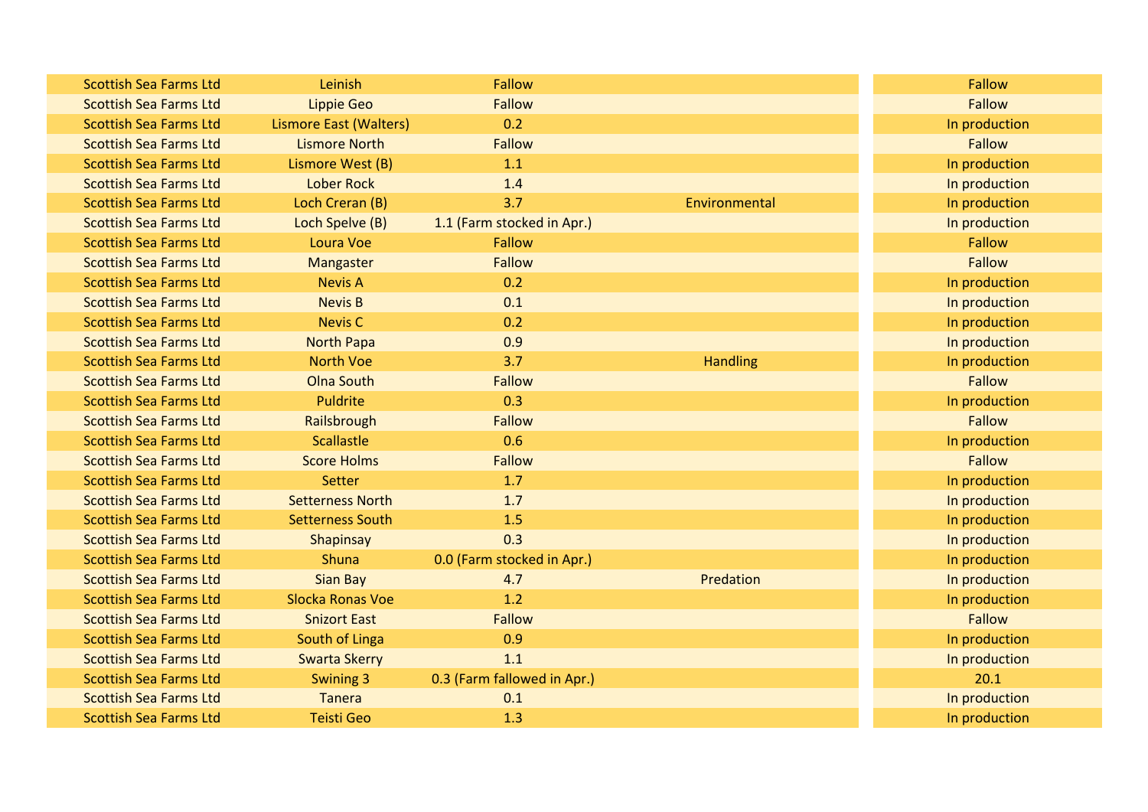| <b>Scottish Sea Farms Ltd</b> | Leinish                       | <b>Fallow</b>               |                 | Fallow        |
|-------------------------------|-------------------------------|-----------------------------|-----------------|---------------|
| <b>Scottish Sea Farms Ltd</b> | <b>Lippie Geo</b>             | Fallow                      |                 | <b>Fallow</b> |
| <b>Scottish Sea Farms Ltd</b> | <b>Lismore East (Walters)</b> | 0.2                         |                 | In production |
| <b>Scottish Sea Farms Ltd</b> | <b>Lismore North</b>          | <b>Fallow</b>               |                 | Fallow        |
| <b>Scottish Sea Farms Ltd</b> | Lismore West (B)              | 1.1                         |                 | In production |
| <b>Scottish Sea Farms Ltd</b> | <b>Lober Rock</b>             | 1.4                         |                 | In production |
| <b>Scottish Sea Farms Ltd</b> | Loch Creran (B)               | 3.7                         | Environmental   | In production |
| <b>Scottish Sea Farms Ltd</b> | Loch Spelve (B)               | 1.1 (Farm stocked in Apr.)  |                 | In production |
| <b>Scottish Sea Farms Ltd</b> | Loura Voe                     | Fallow                      |                 | Fallow        |
| <b>Scottish Sea Farms Ltd</b> | Mangaster                     | Fallow                      |                 | <b>Fallow</b> |
| <b>Scottish Sea Farms Ltd</b> | <b>Nevis A</b>                | 0.2                         |                 | In production |
| <b>Scottish Sea Farms Ltd</b> | <b>Nevis B</b>                | 0.1                         |                 | In production |
| <b>Scottish Sea Farms Ltd</b> | <b>Nevis C</b>                | 0.2                         |                 | In production |
| <b>Scottish Sea Farms Ltd</b> | <b>North Papa</b>             | 0.9                         |                 | In production |
| <b>Scottish Sea Farms Ltd</b> | <b>North Voe</b>              | 3.7                         | <b>Handling</b> | In production |
| <b>Scottish Sea Farms Ltd</b> | <b>Olna South</b>             | <b>Fallow</b>               |                 | <b>Fallow</b> |
| <b>Scottish Sea Farms Ltd</b> | Puldrite                      | 0.3                         |                 | In production |
| <b>Scottish Sea Farms Ltd</b> | Railsbrough                   | <b>Fallow</b>               |                 | Fallow        |
| <b>Scottish Sea Farms Ltd</b> | <b>Scallastle</b>             | 0.6                         |                 | In production |
| <b>Scottish Sea Farms Ltd</b> | <b>Score Holms</b>            | Fallow                      |                 | Fallow        |
| <b>Scottish Sea Farms Ltd</b> | Setter                        | 1.7                         |                 | In production |
| <b>Scottish Sea Farms Ltd</b> | <b>Setterness North</b>       | 1.7                         |                 | In production |
| <b>Scottish Sea Farms Ltd</b> | <b>Setterness South</b>       | 1.5                         |                 | In production |
| <b>Scottish Sea Farms Ltd</b> | Shapinsay                     | 0.3                         |                 | In production |
| <b>Scottish Sea Farms Ltd</b> | Shuna                         | 0.0 (Farm stocked in Apr.)  |                 | In production |
| <b>Scottish Sea Farms Ltd</b> | <b>Sian Bay</b>               | 4.7                         | Predation       | In production |
| <b>Scottish Sea Farms Ltd</b> | Slocka Ronas Voe              | 1.2                         |                 | In production |
| <b>Scottish Sea Farms Ltd</b> | <b>Snizort East</b>           | Fallow                      |                 | Fallow        |
| <b>Scottish Sea Farms Ltd</b> | South of Linga                | 0.9                         |                 | In production |
| <b>Scottish Sea Farms Ltd</b> | <b>Swarta Skerry</b>          | 1.1                         |                 | In production |
| <b>Scottish Sea Farms Ltd</b> | Swining 3                     | 0.3 (Farm fallowed in Apr.) |                 | 20.1          |
| <b>Scottish Sea Farms Ltd</b> | <b>Tanera</b>                 | 0.1                         |                 | In production |
| <b>Scottish Sea Farms Ltd</b> | <b>Teisti Geo</b>             | 1.3                         |                 | In production |